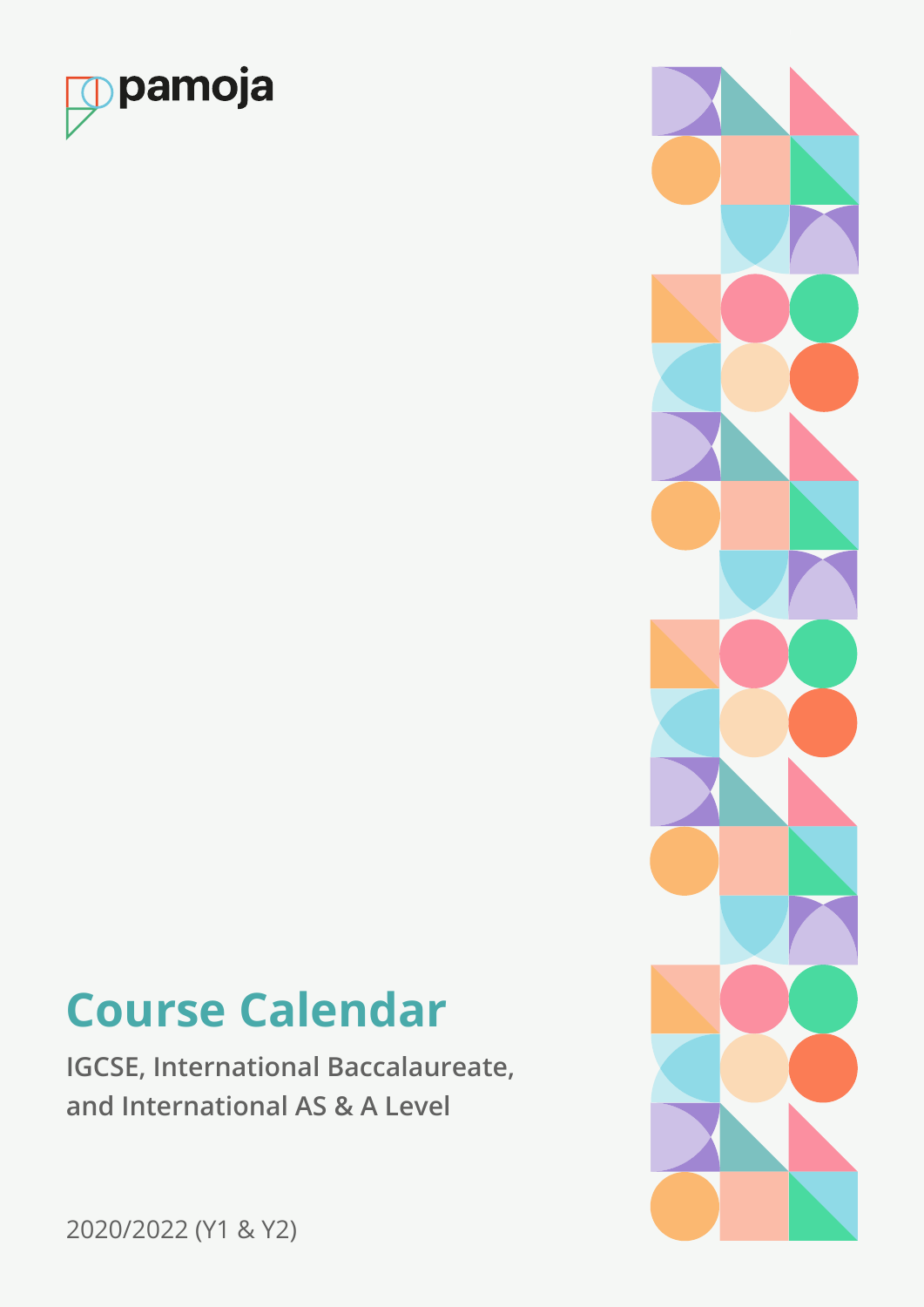

# **Course Calendar**

**IGCSE, International Baccalaureate, and International AS & A Level**



2020/2022 (Y1 & Y2)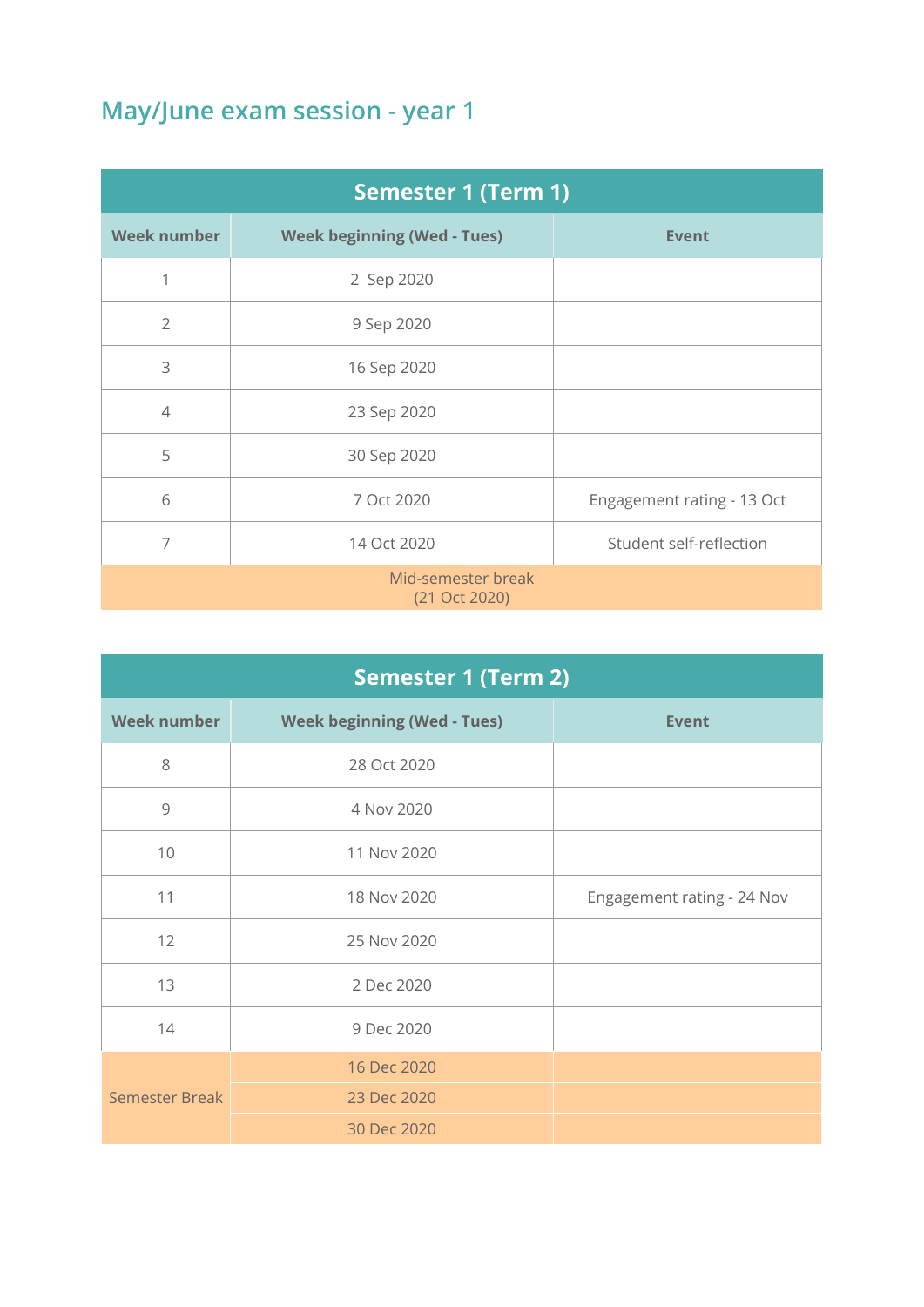| <b>Semester 1 (Term 1)</b>          |                                    |                            |
|-------------------------------------|------------------------------------|----------------------------|
| <b>Week number</b>                  | <b>Week beginning (Wed - Tues)</b> | <b>Event</b>               |
| 1                                   | 2 Sep 2020                         |                            |
| $\overline{2}$                      | 9 Sep 2020                         |                            |
| 3                                   | 16 Sep 2020                        |                            |
| $\overline{4}$                      | 23 Sep 2020                        |                            |
| 5                                   | 30 Sep 2020                        |                            |
| 6                                   | 7 Oct 2020                         | Engagement rating - 13 Oct |
| 7                                   | 14 Oct 2020                        | Student self-reflection    |
| Mid-semester break<br>(21 Oct 2020) |                                    |                            |

| <b>Semester 1 (Term 2)</b> |                                    |                            |
|----------------------------|------------------------------------|----------------------------|
| <b>Week number</b>         | <b>Week beginning (Wed - Tues)</b> | <b>Event</b>               |
| 8                          | 28 Oct 2020                        |                            |
| $\overline{9}$             | 4 Nov 2020                         |                            |
| 10                         | 11 Nov 2020                        |                            |
| 11                         | 18 Nov 2020                        | Engagement rating - 24 Nov |
| 12                         | 25 Nov 2020                        |                            |
| 13                         | 2 Dec 2020                         |                            |
| 14                         | 9 Dec 2020                         |                            |
| <b>Semester Break</b>      | 16 Dec 2020                        |                            |
|                            | 23 Dec 2020                        |                            |
|                            | 30 Dec 2020                        |                            |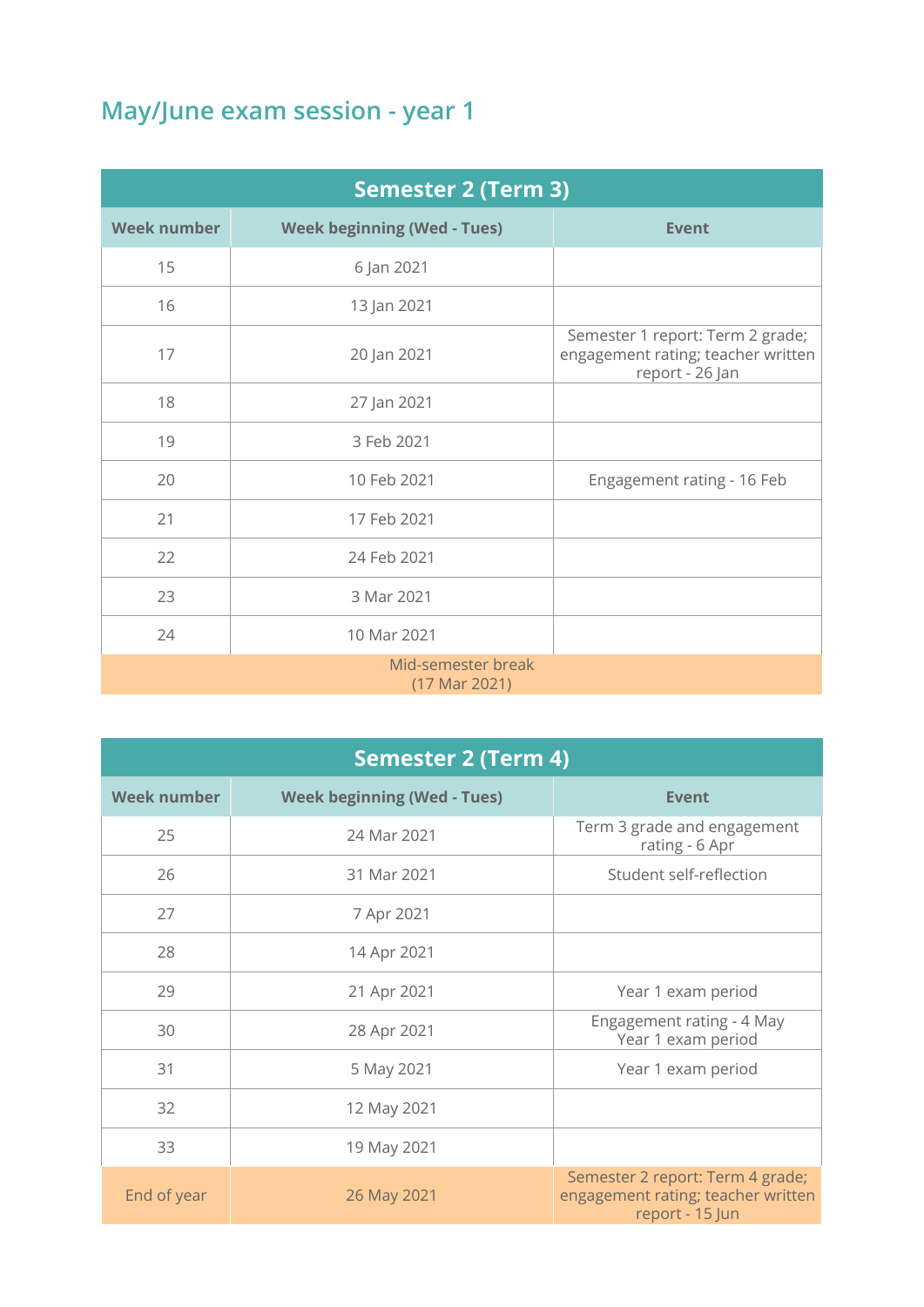| <b>Semester 2 (Term 3)</b>          |                                    |                                                                                           |
|-------------------------------------|------------------------------------|-------------------------------------------------------------------------------------------|
| <b>Week number</b>                  | <b>Week beginning (Wed - Tues)</b> | <b>Event</b>                                                                              |
| 15                                  | 6 Jan 2021                         |                                                                                           |
| 16                                  | 13 Jan 2021                        |                                                                                           |
| 17                                  | 20 Jan 2021                        | Semester 1 report: Term 2 grade;<br>engagement rating; teacher written<br>report - 26 Jan |
| 18                                  | 27 Jan 2021                        |                                                                                           |
| 19                                  | 3 Feb 2021                         |                                                                                           |
| 20                                  | 10 Feb 2021                        | Engagement rating - 16 Feb                                                                |
| 21                                  | 17 Feb 2021                        |                                                                                           |
| 22                                  | 24 Feb 2021                        |                                                                                           |
| 23                                  | 3 Mar 2021                         |                                                                                           |
| 24                                  | 10 Mar 2021                        |                                                                                           |
| Mid-semester break<br>(17 Mar 2021) |                                    |                                                                                           |

| <b>Semester 2 (Term 4)</b> |                                    |                                                                                           |
|----------------------------|------------------------------------|-------------------------------------------------------------------------------------------|
| <b>Week number</b>         | <b>Week beginning (Wed - Tues)</b> | <b>Event</b>                                                                              |
| 25                         | 24 Mar 2021                        | Term 3 grade and engagement<br>rating - 6 Apr                                             |
| 26                         | 31 Mar 2021                        | Student self-reflection                                                                   |
| 27                         | 7 Apr 2021                         |                                                                                           |
| 28                         | 14 Apr 2021                        |                                                                                           |
| 29                         | 21 Apr 2021                        | Year 1 exam period                                                                        |
| 30                         | 28 Apr 2021                        | Engagement rating - 4 May<br>Year 1 exam period                                           |
| 31                         | 5 May 2021                         | Year 1 exam period                                                                        |
| 32                         | 12 May 2021                        |                                                                                           |
| 33                         | 19 May 2021                        |                                                                                           |
| End of year                | 26 May 2021                        | Semester 2 report: Term 4 grade;<br>engagement rating; teacher written<br>report - 15 Jun |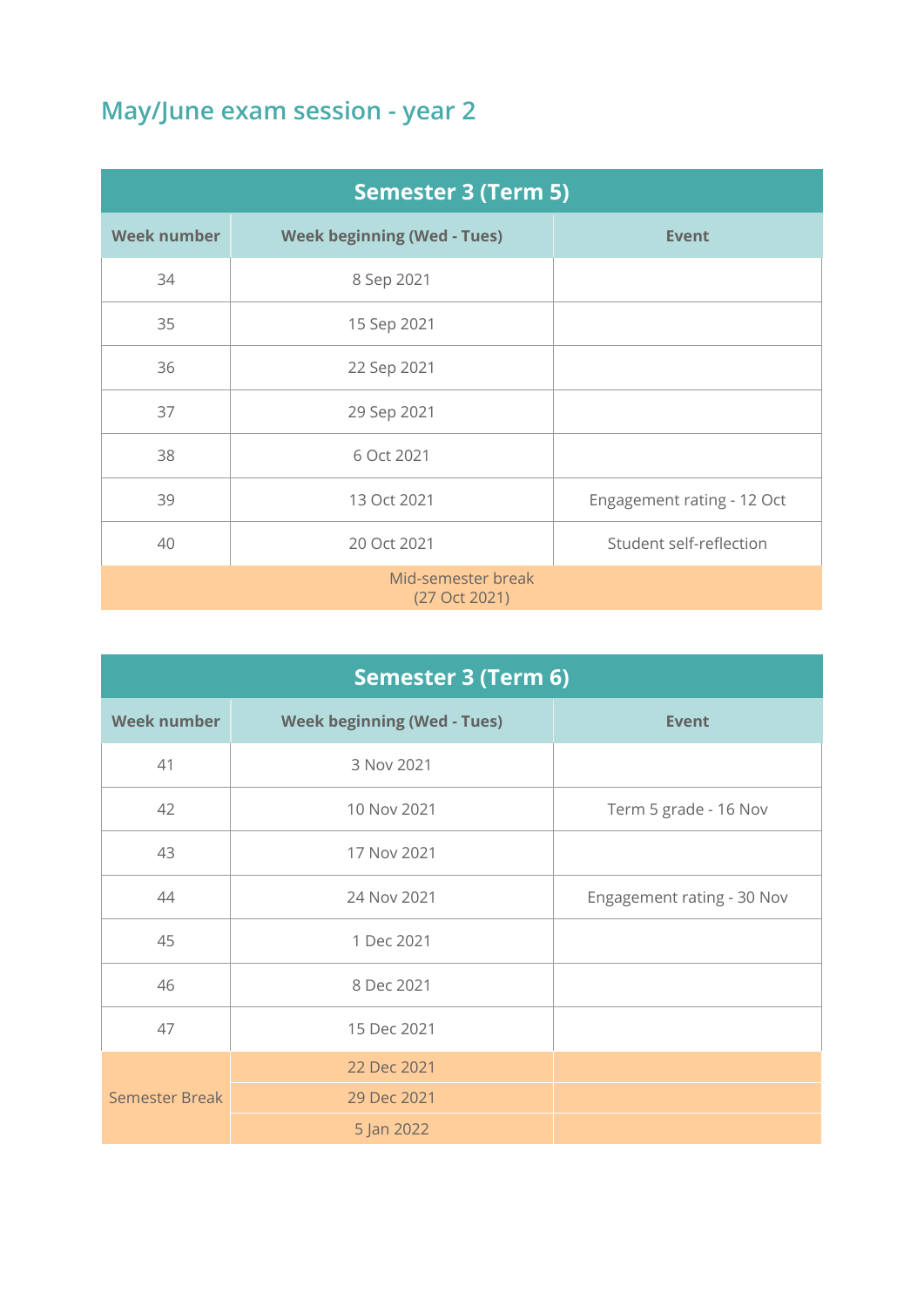| <b>Semester 3 (Term 5)</b>          |                                    |                            |
|-------------------------------------|------------------------------------|----------------------------|
| <b>Week number</b>                  | <b>Week beginning (Wed - Tues)</b> | <b>Event</b>               |
| 34                                  | 8 Sep 2021                         |                            |
| 35                                  | 15 Sep 2021                        |                            |
| 36                                  | 22 Sep 2021                        |                            |
| 37                                  | 29 Sep 2021                        |                            |
| 38                                  | 6 Oct 2021                         |                            |
| 39                                  | 13 Oct 2021                        | Engagement rating - 12 Oct |
| 40                                  | 20 Oct 2021                        | Student self-reflection    |
| Mid-semester break<br>(27 Oct 2021) |                                    |                            |

| <b>Semester 3 (Term 6)</b> |                                    |                            |
|----------------------------|------------------------------------|----------------------------|
| <b>Week number</b>         | <b>Week beginning (Wed - Tues)</b> | <b>Event</b>               |
| 41                         | 3 Nov 2021                         |                            |
| 42                         | 10 Nov 2021                        | Term 5 grade - 16 Nov      |
| 43                         | 17 Nov 2021                        |                            |
| 44                         | 24 Nov 2021                        | Engagement rating - 30 Nov |
| 45                         | 1 Dec 2021                         |                            |
| 46                         | 8 Dec 2021                         |                            |
| 47                         | 15 Dec 2021                        |                            |
| <b>Semester Break</b>      | 22 Dec 2021                        |                            |
|                            | 29 Dec 2021                        |                            |
|                            | 5 Jan 2022                         |                            |